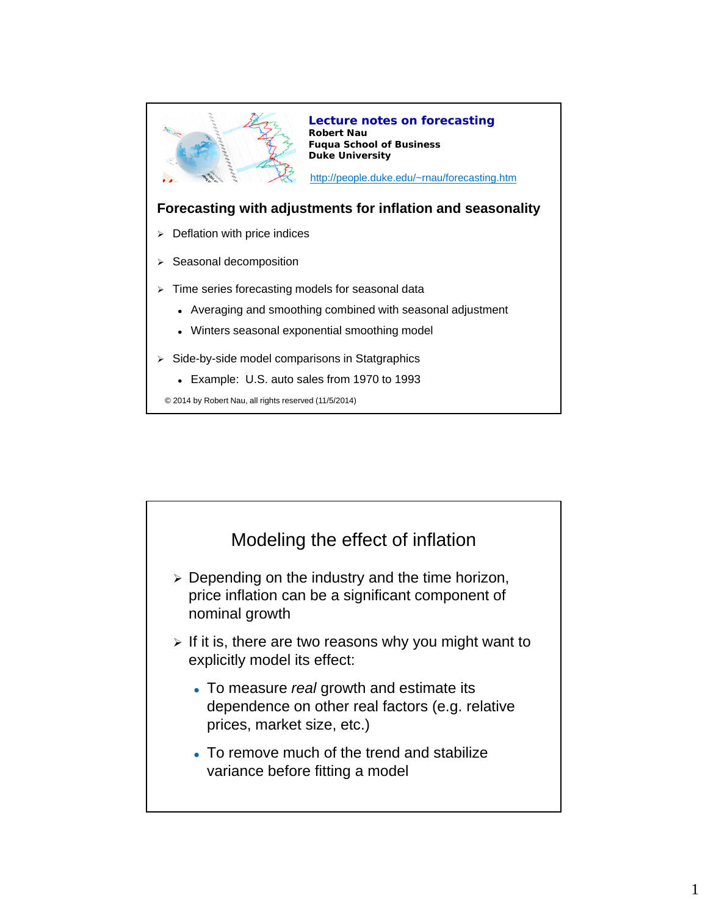

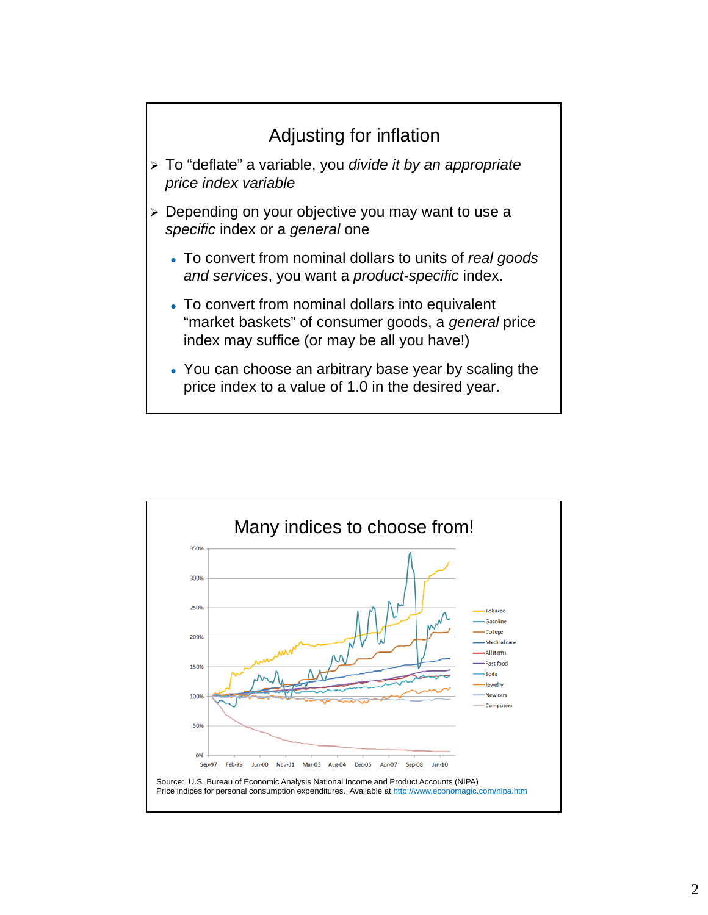

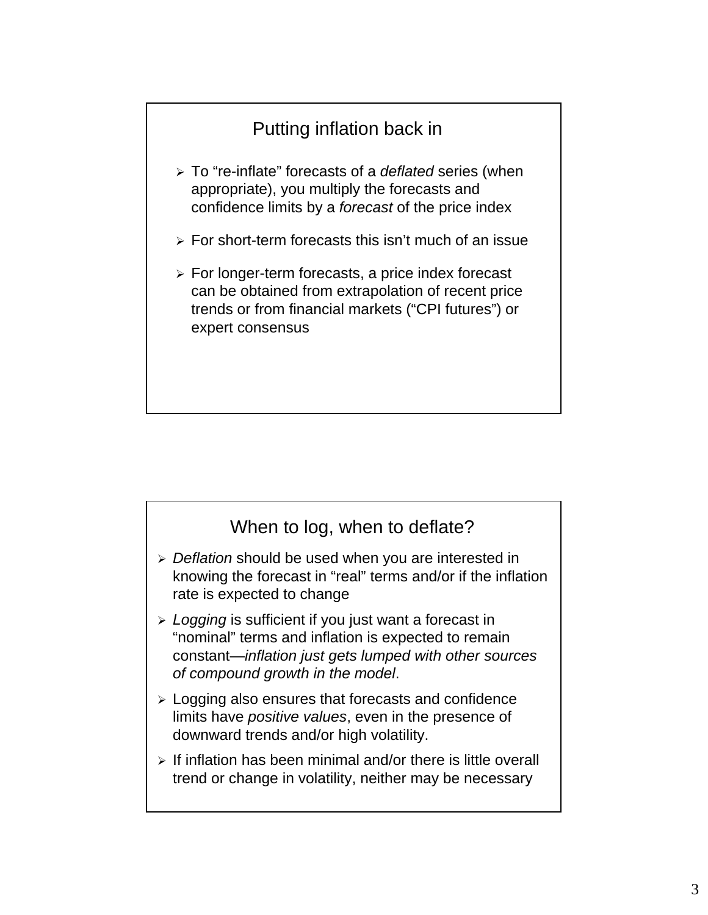## Putting inflation back in

- To "re-inflate" forecasts of a *deflated* series (when appropriate), you multiply the forecasts and confidence limits by a *forecast* of the price index
- $\triangleright$  For short-term forecasts this isn't much of an issue
- $\triangleright$  For longer-term forecasts, a price index forecast can be obtained from extrapolation of recent price trends or from financial markets ("CPI futures") or expert consensus

## When to log, when to deflate?

- *Deflation* should be used when you are interested in knowing the forecast in "real" terms and/or if the inflation rate is expected to change
- *Logging* is sufficient if you just want a forecast in "nominal" terms and inflation is expected to remain constant—*inflation just gets lumped with other sources of compound growth in the model*.
- $\geq$  Logging also ensures that forecasts and confidence limits have *positive values*, even in the presence of downward trends and/or high volatility.
- $\triangleright$  If inflation has been minimal and/or there is little overall trend or change in volatility, neither may be necessary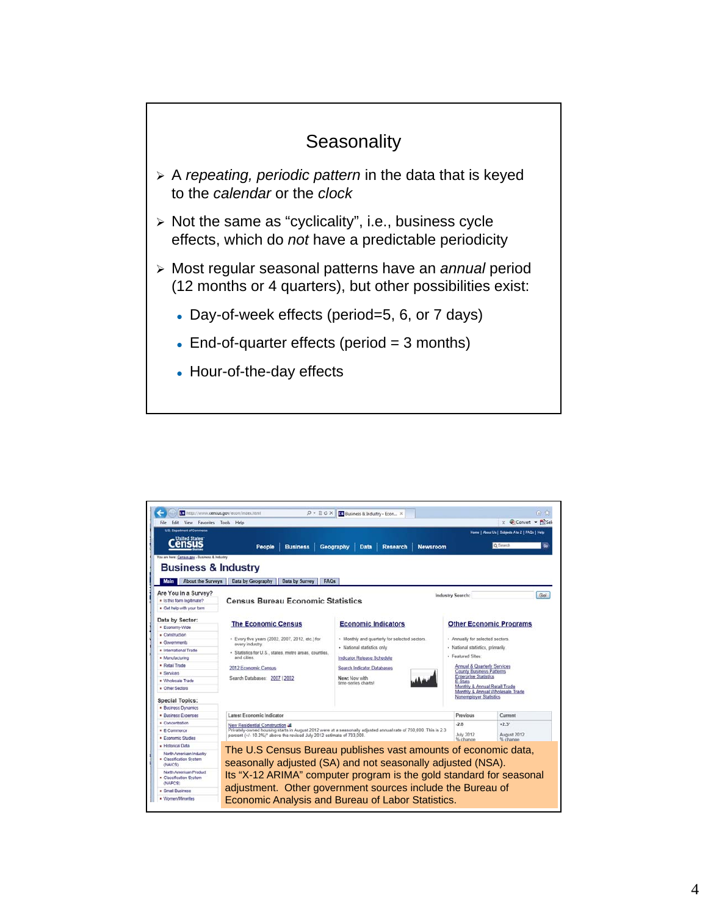

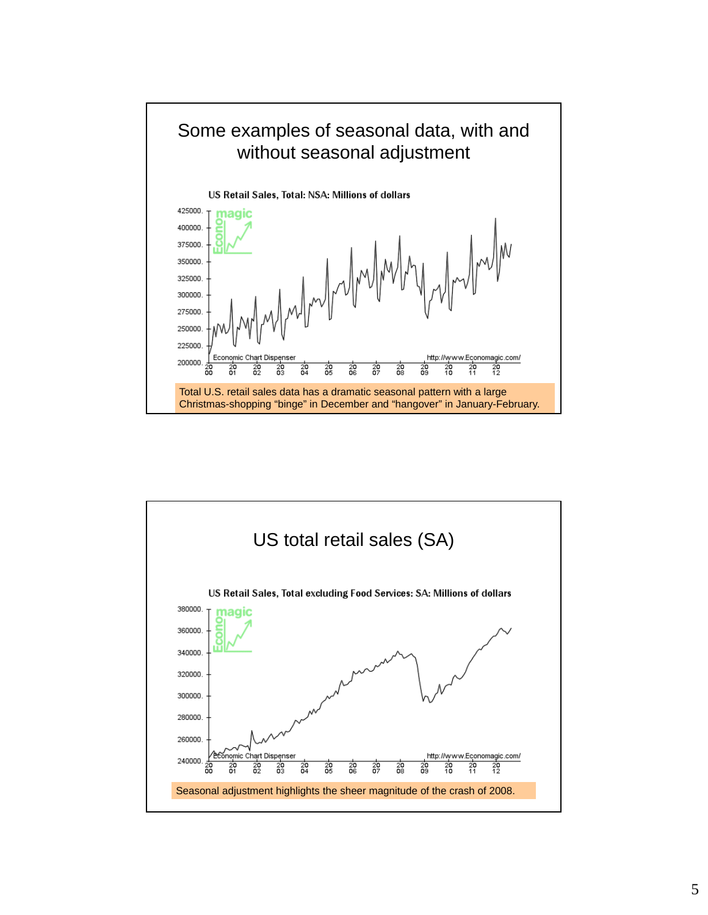

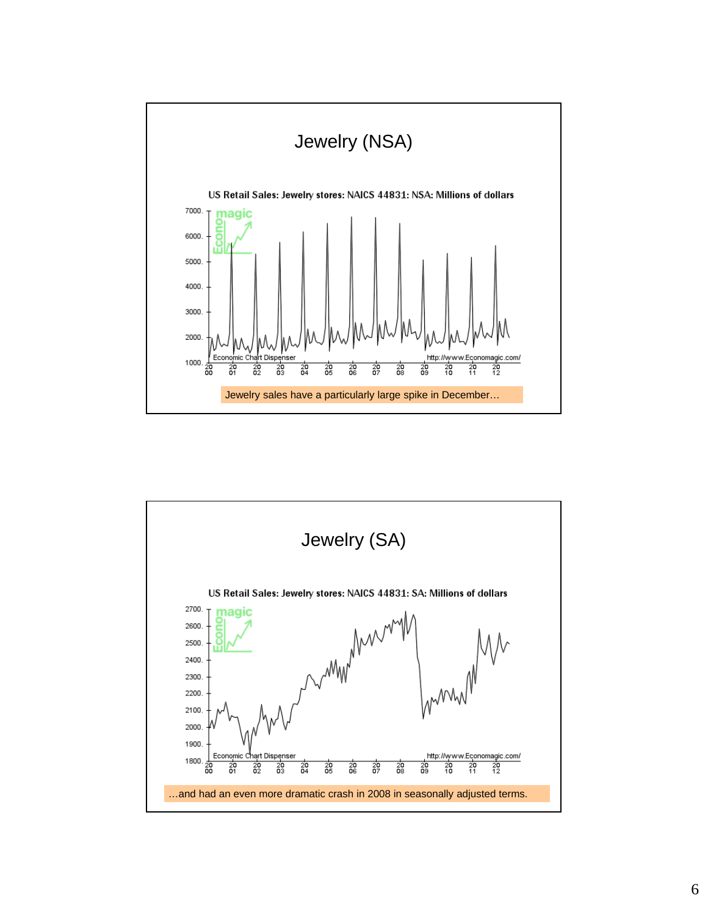

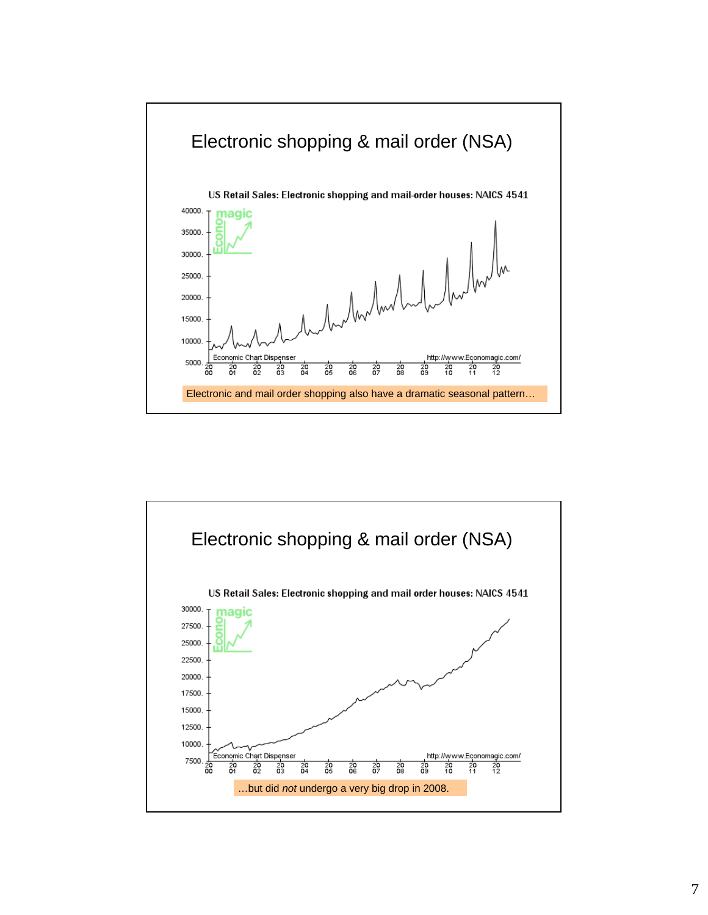

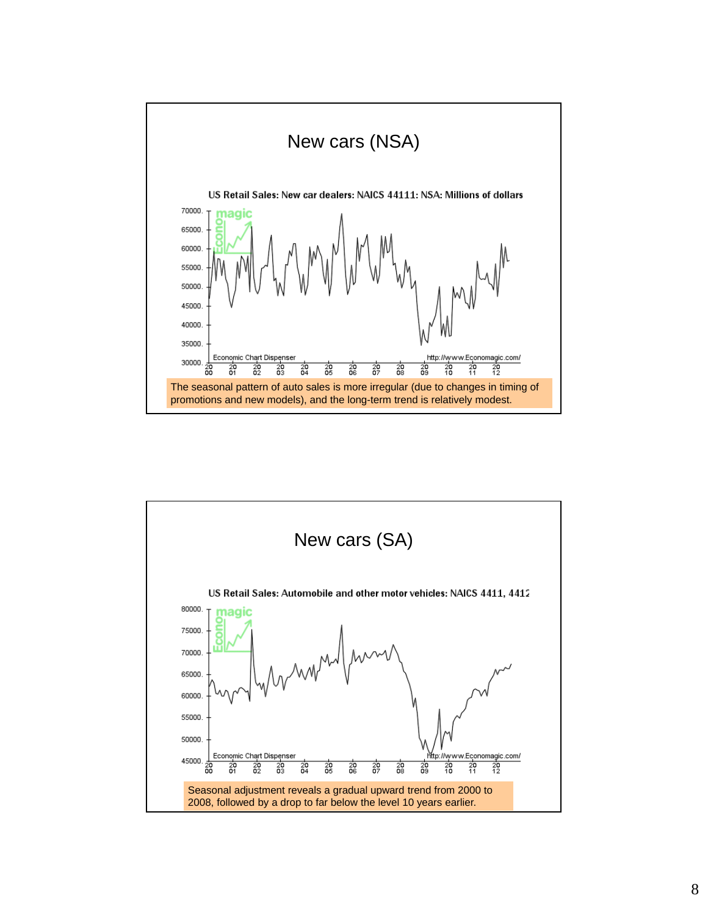

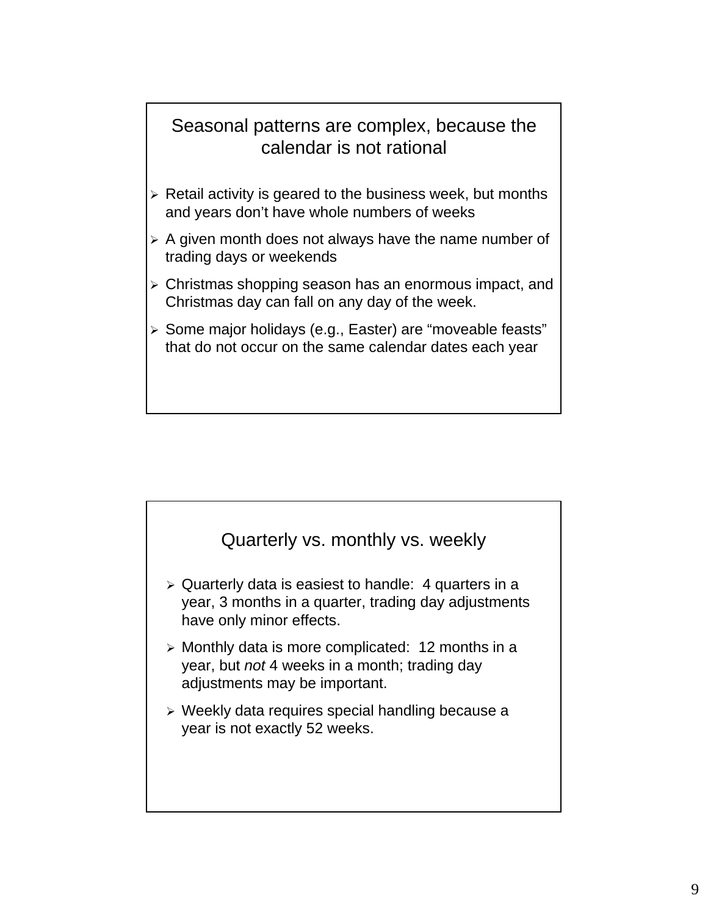## Seasonal patterns are complex, because the calendar is not rational

- $\triangleright$  Retail activity is geared to the business week, but months and years don't have whole numbers of weeks
- $\triangleright$  A given month does not always have the name number of trading days or weekends
- Christmas shopping season has an enormous impact, and Christmas day can fall on any day of the week.
- > Some major holidays (e.g., Easter) are "moveable feasts" that do not occur on the same calendar dates each year

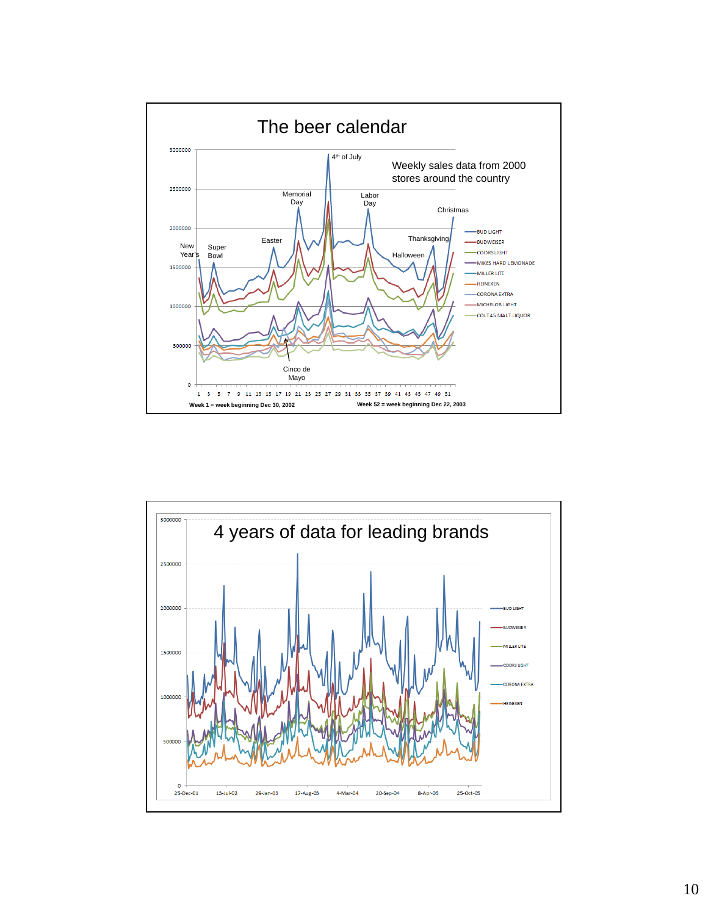

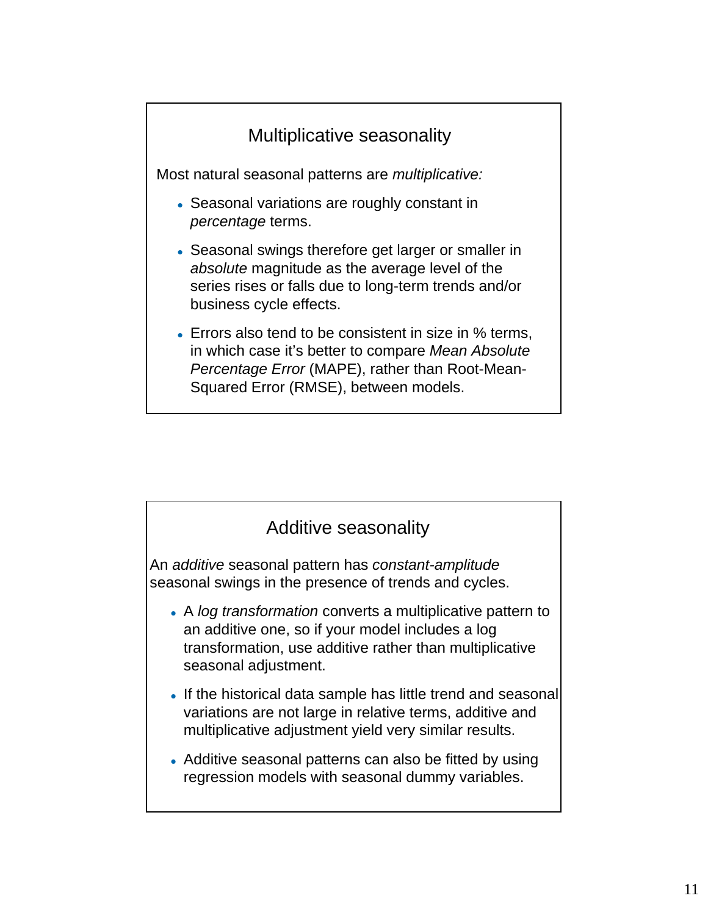



- A *log transformation* converts a multiplicative pattern to an additive one, so if your model includes a log transformation, use additive rather than multiplicative seasonal adjustment.
- If the historical data sample has little trend and seasonal variations are not large in relative terms, additive and multiplicative adjustment yield very similar results.
- Additive seasonal patterns can also be fitted by using regression models with seasonal dummy variables.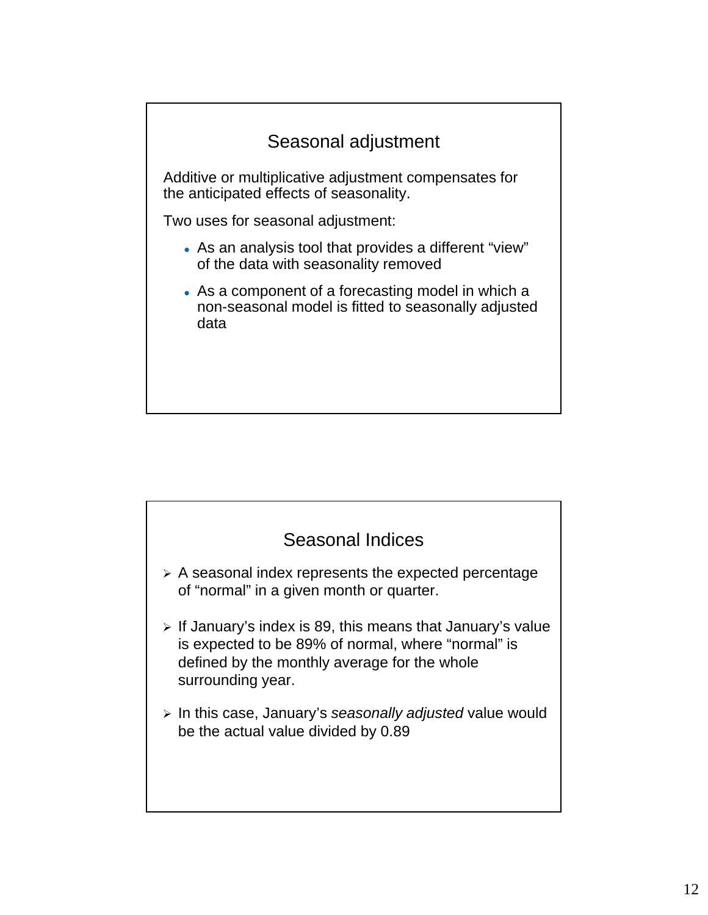

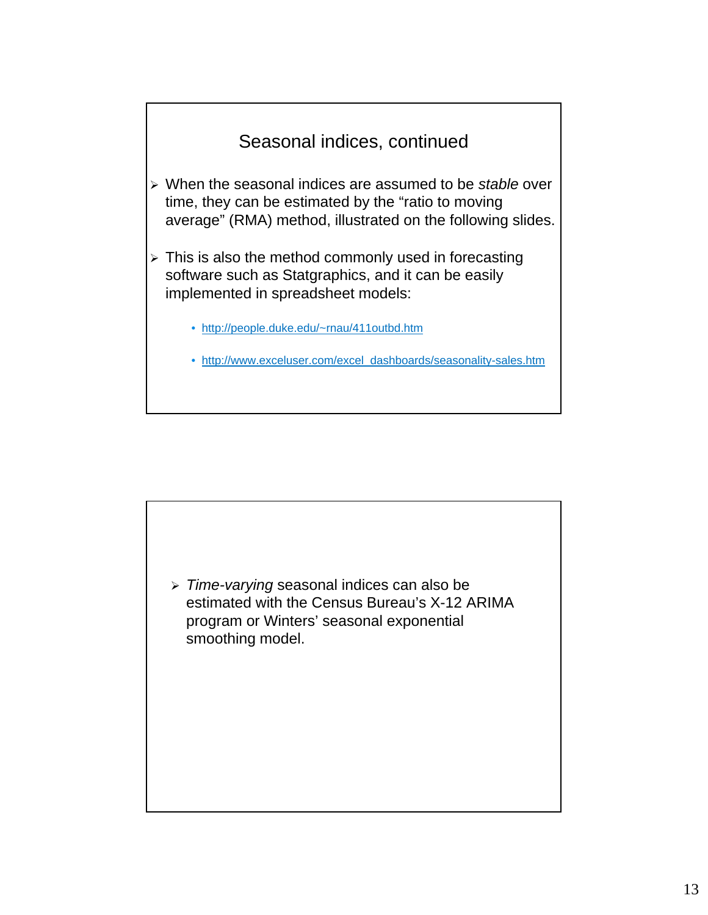

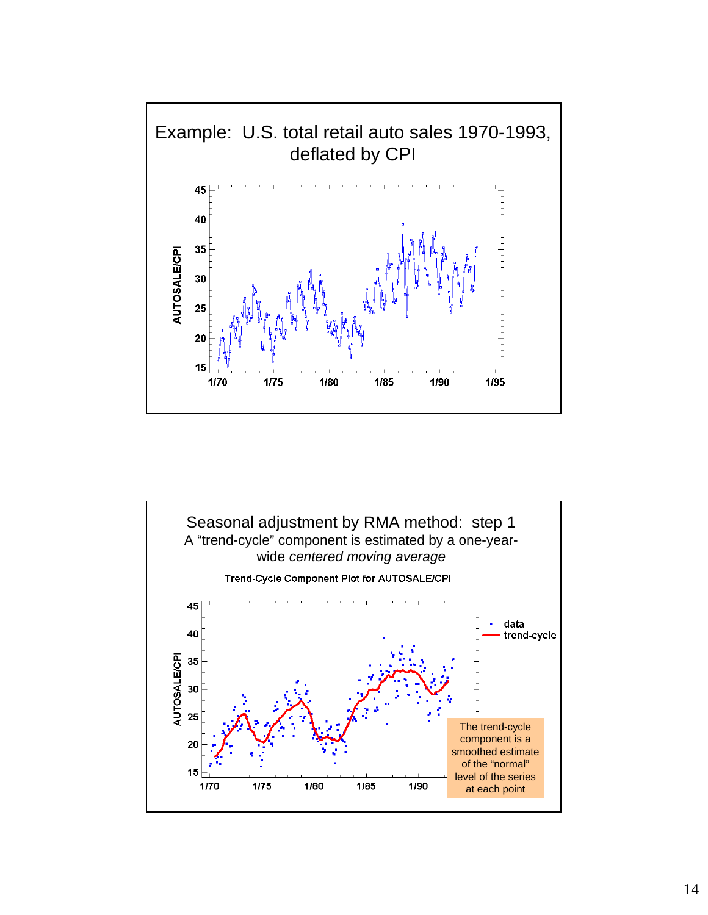

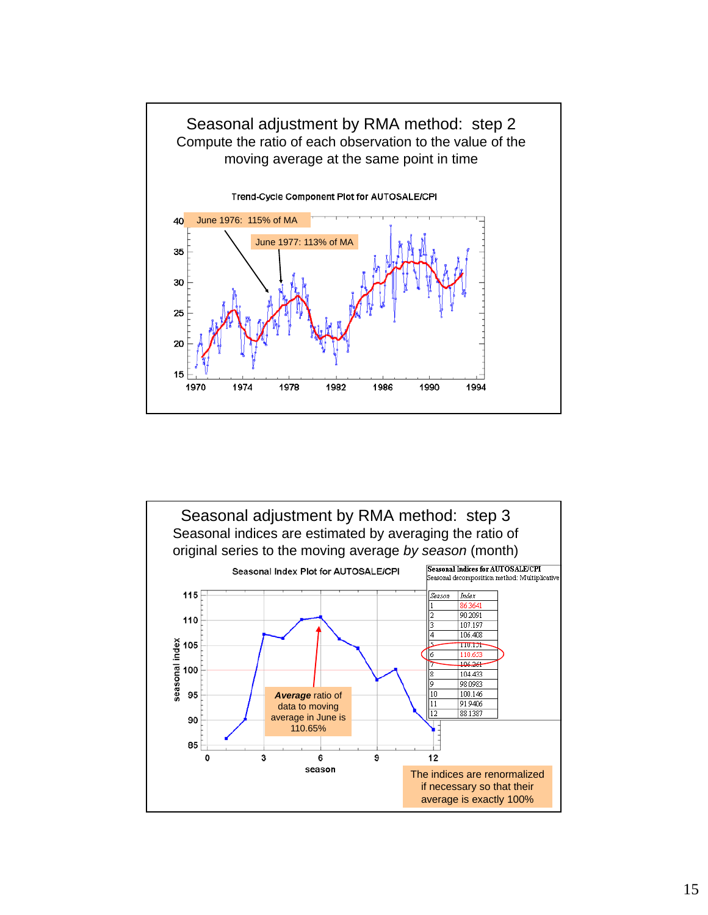

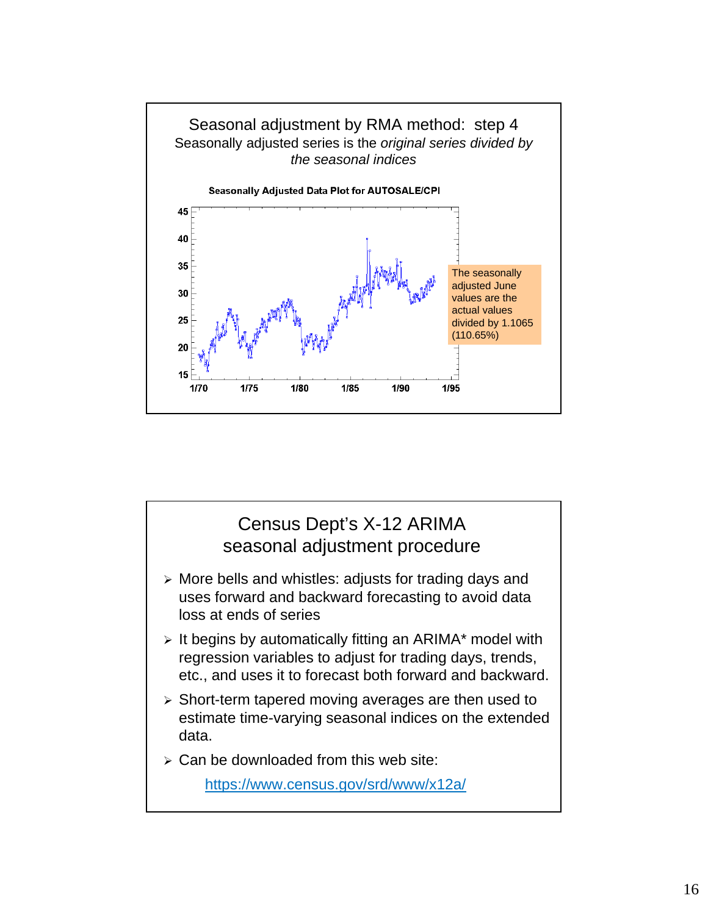

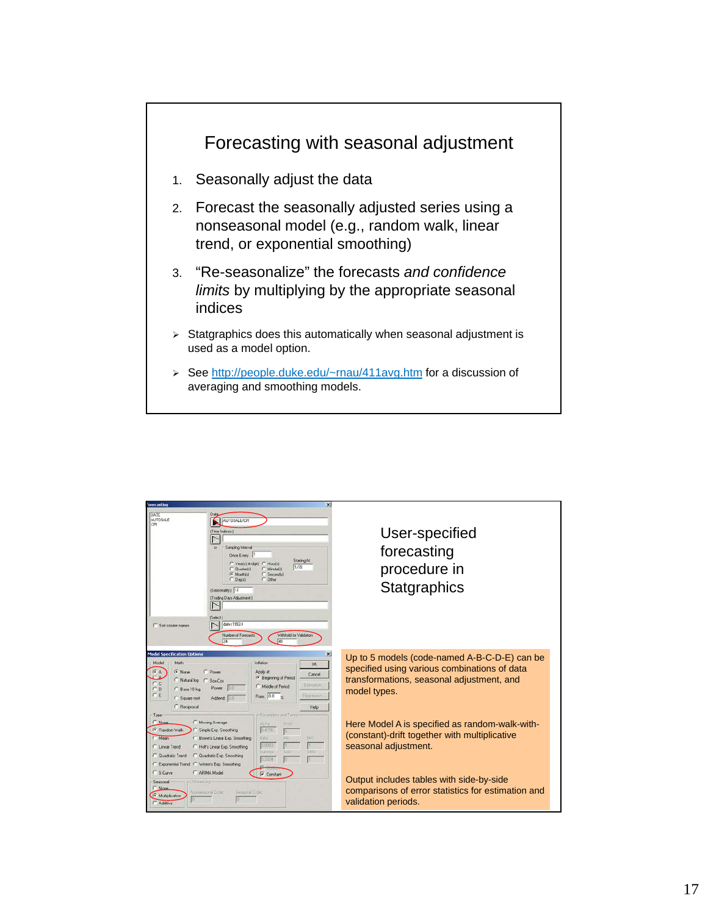

| <b>Forecasting</b><br>×                                                                                                                                                                                                                                                                                                                                                                                                   |                                                                                                                                                           |
|---------------------------------------------------------------------------------------------------------------------------------------------------------------------------------------------------------------------------------------------------------------------------------------------------------------------------------------------------------------------------------------------------------------------------|-----------------------------------------------------------------------------------------------------------------------------------------------------------|
| DATE<br><b>AUTOSALE</b><br><b>MUTOSALE/CPI</b><br>CPI<br>[Time Indices:]<br>Sampling Interval<br>Once Every<br><b>Starting At:</b><br>C Yearn (4-dol)<br>Houtel<br>1/70<br>C Quated:1<br>Minutefall<br>$F$ Month(s)<br>C Secondal<br>C. Davisi<br>C Other<br>[Seasonality:] 12<br>(Trading Davs Adjustment)<br>(Select)<br>date<1993.4<br>Sort column names<br>Withhold for Validation<br>Number of Forecasts<br>24<br>48 | User-specified<br>forecasting<br>procedure in<br>Statgraphics                                                                                             |
| <b>Model Specification Options</b><br>Math<br>Inflation<br>Model<br>GK<br>G None<br>C Power<br>Acclu at:<br>Cancel<br><sup>6</sup> Beginning of Period<br>Natural log C Box-Cox<br>Estimation<br>C Middle of Period<br>Pover.<br>C Bare 10 log<br>Rate: 0.0 %<br>Heatsteon<br>Square root<br>Addend 0.0<br>C Recorocal<br>Help                                                                                            | Up to 5 models (code-named A-B-C-D-E) can be<br>specified using various combinations of data<br>transformations, seasonal adjustment, and<br>model types. |
| Type<br>Parameters and Terms<br>C None<br>Moving Average<br>Alpha<br><b>Older</b><br>F Random Walk<br>0.4776<br>Simple Exp. Smoothing<br><b>E</b> Brown's Linear Exp. Smoothing<br><b>Beta</b><br>AR)<br>MA.<br>Mean.<br>0.0203<br>C Linear Trend<br>C Holt's Linear Exp. Smoothing<br>SAR<br>SNA<br>Garima<br>C Quadratic Exp. Smoothing<br>C Quadratic Trend<br>0.2324<br>Exponential Trend C Winter's Exp. Smoothing   | Here Model A is specified as random-walk-with-<br>(constant)-drift together with multiplicative<br>seasonal adjustment.                                   |
| C S-Curve<br>C ARIMA Model<br><b>V</b> Constant<br>Seasonal<br>Different ima-<br>'None<br>Nonsessonal Order.<br>Seasonal Drder.<br>G Multiplicative<br>Addive                                                                                                                                                                                                                                                             | Output includes tables with side-by-side<br>comparisons of error statistics for estimation and<br>validation periods.                                     |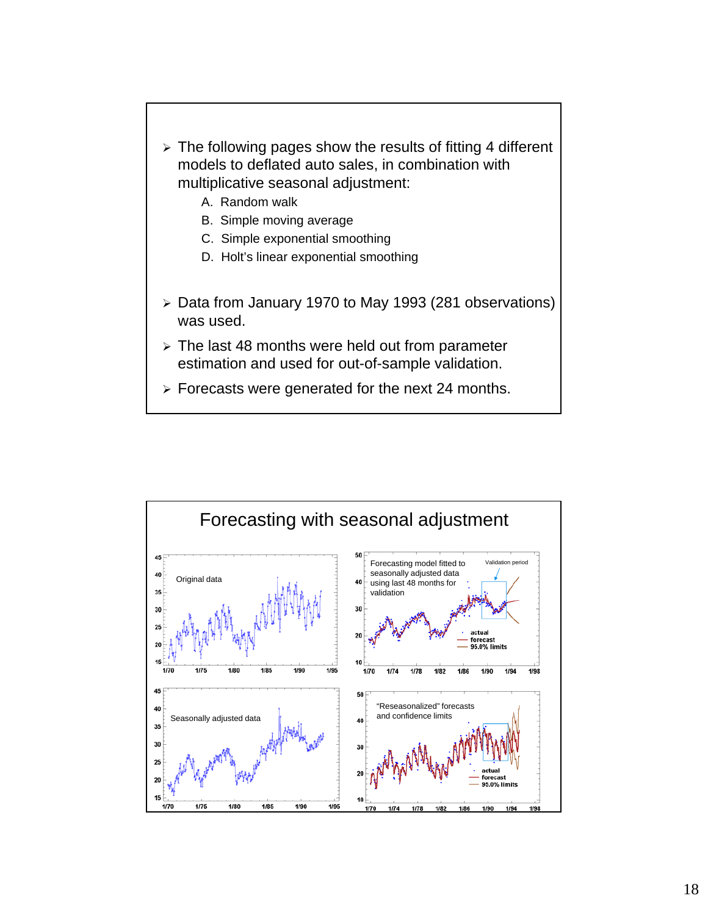

 $\triangleright$  Forecasts were generated for the next 24 months.

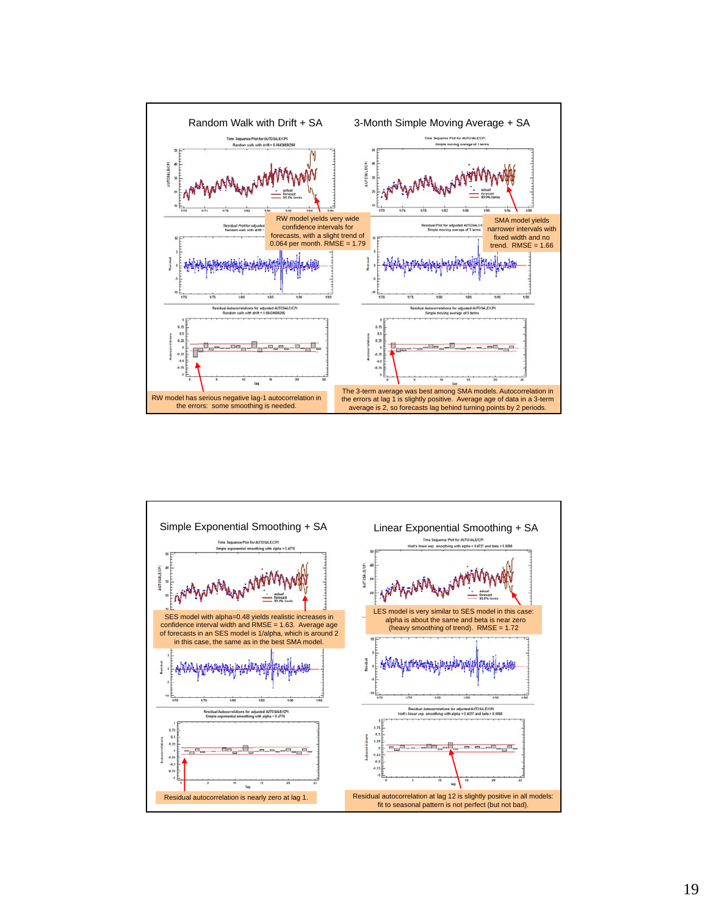

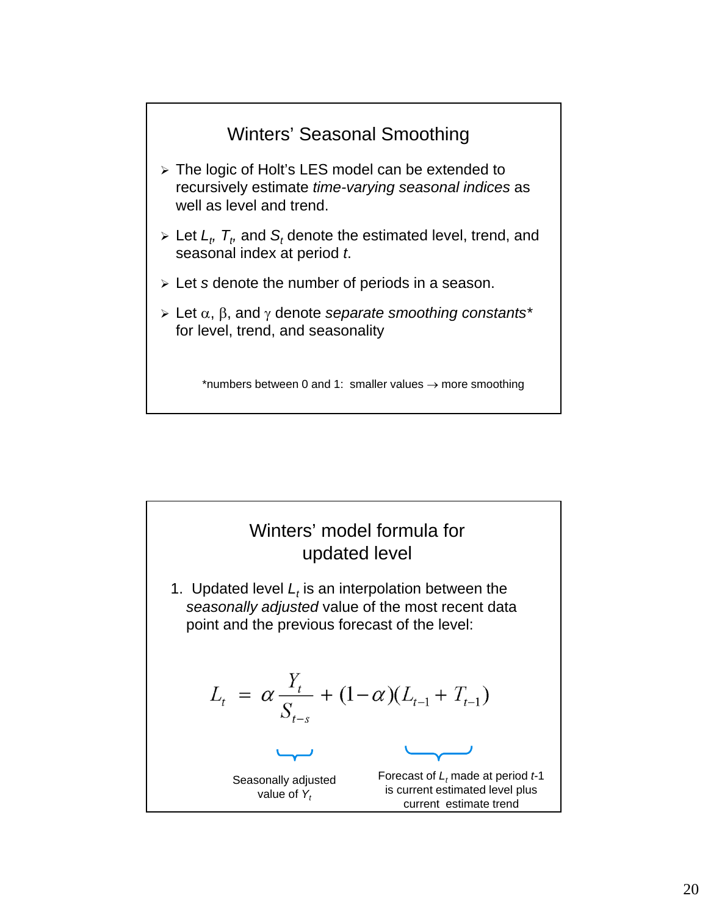

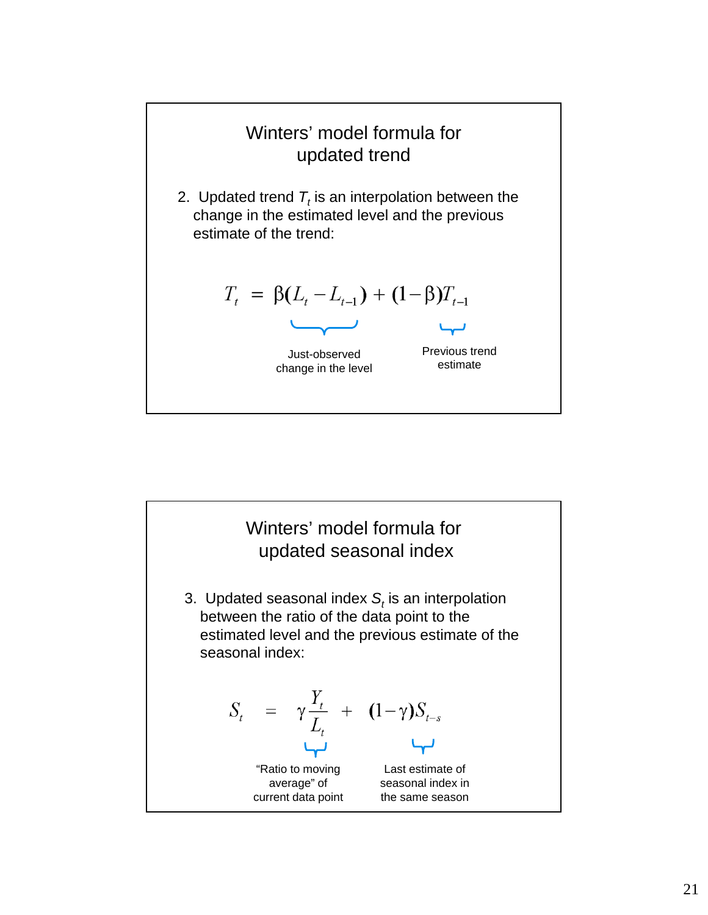

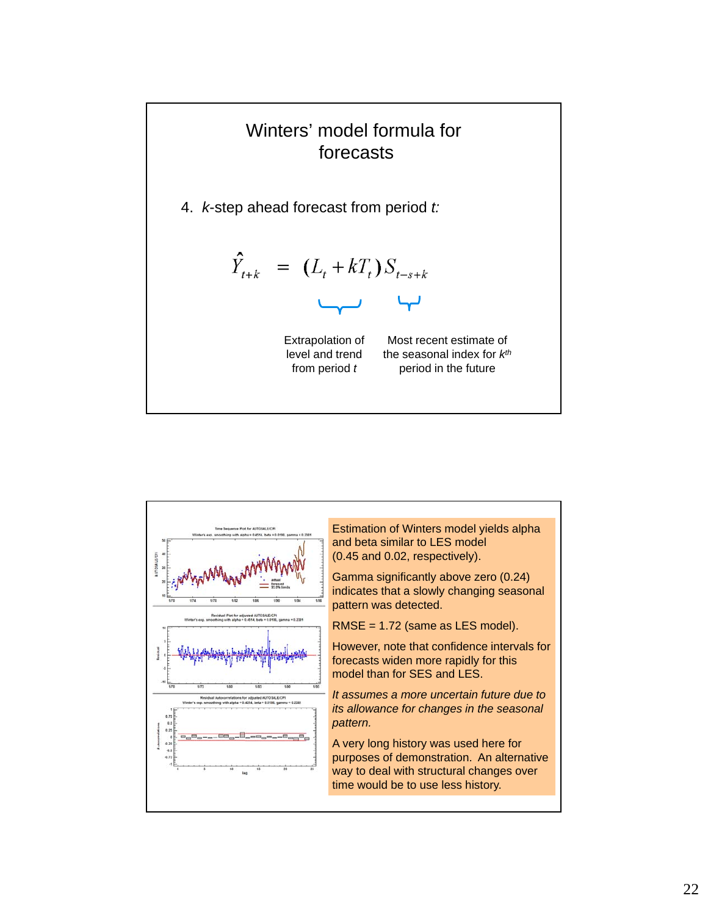

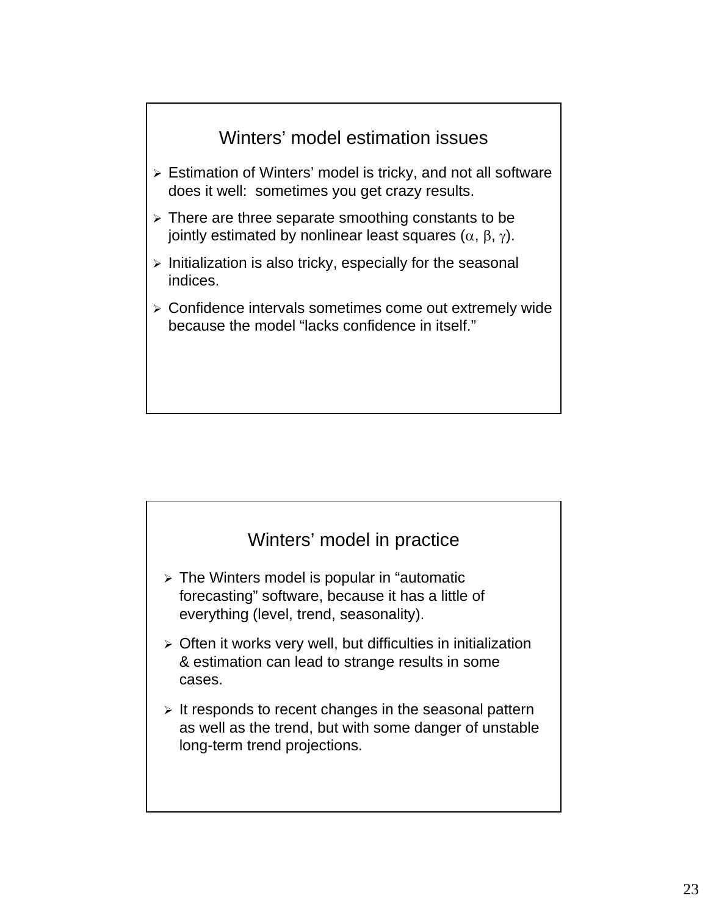



- $\geq$  The Winters model is popular in "automatic forecasting" software, because it has a little of everything (level, trend, seasonality).
- $\triangleright$  Often it works very well, but difficulties in initialization & estimation can lead to strange results in some cases.
- $\triangleright$  It responds to recent changes in the seasonal pattern as well as the trend, but with some danger of unstable long-term trend projections.